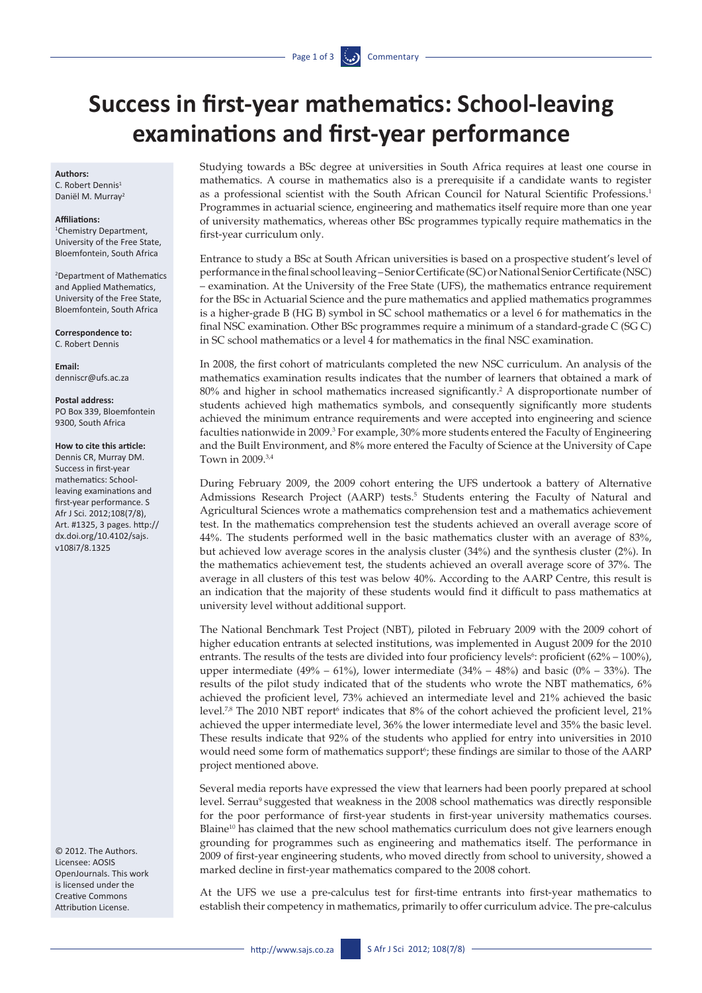# **Success in first-year mathematics: School-leaving examinations and first-year performance**

## **Authors:**

C. Robert Dennis<sup>1</sup> Daniël M. Murray2

#### **Affiliations:**

1 Chemistry Department, University of the Free State, Bloemfontein, South Africa

2 Department of Mathematics and Applied Mathematics, University of the Free State, Bloemfontein, South Africa

**Correspondence to:**  C. Robert Dennis

**Email:**  [denniscr@ufs.ac.za](mailto:denniscr@ufs.ac.za)

**Postal address:** PO Box 339, Bloemfontein 9300, South Africa

## **How to cite this article:**

Dennis CR, Murray DM. Success in first-year mathematics: Schoolleaving examinations and first-year performance. S Afr J Sci. 2012;108(7/8), Art. #1325, 3 pages. [http://](http://dx.doi.org/10.4102/sajs.v108i7/8.1325) [dx.doi.org/10.4102/sajs.](http://dx.doi.org/10.4102/sajs.v108i7/8.1325) [v108i7/8.1325](http://dx.doi.org/10.4102/sajs.v108i7/8.1325)

© 2012. The Authors. Licensee: AOSIS OpenJournals. This work is licensed under the Creative Commons Attribution License.

Studying towards a BSc degree at universities in South Africa requires at least one course in mathematics. A course in mathematics also is a prerequisite if a candidate wants to register as a professional scientist with the South African Council for Natural Scientific Professions.1 Programmes in actuarial science, engineering and mathematics itself require more than one year of university mathematics, whereas other BSc programmes typically require mathematics in the first-year curriculum only.

Entrance to study a BSc at South African universities is based on a prospective student's level of performance in the final school leaving – Senior Certificate (SC) or National Senior Certificate (NSC) – examination. At the University of the Free State (UFS), the mathematics entrance requirement for the BSc in Actuarial Science and the pure mathematics and applied mathematics programmes is a higher-grade B (HG B) symbol in SC school mathematics or a level 6 for mathematics in the final NSC examination. Other BSc programmes require a minimum of a standard-grade C (SG C) in SC school mathematics or a level 4 for mathematics in the final NSC examination.

In 2008, the first cohort of matriculants completed the new NSC curriculum. An analysis of the mathematics examination results indicates that the number of learners that obtained a mark of 80% and higher in school mathematics increased significantly.2 A disproportionate number of students achieved high mathematics symbols, and consequently significantly more students achieved the minimum entrance requirements and were accepted into engineering and science faculties nationwide in 2009.<sup>3</sup> For example, 30% more students entered the Faculty of Engineering and the Built Environment, and 8% more entered the Faculty of Science at the University of Cape Town in 2009.3,4

During February 2009, the 2009 cohort entering the UFS undertook a battery of Alternative Admissions Research Project (AARP) tests.<sup>5</sup> Students entering the Faculty of Natural and Agricultural Sciences wrote a mathematics comprehension test and a mathematics achievement test. In the mathematics comprehension test the students achieved an overall average score of 44%. The students performed well in the basic mathematics cluster with an average of 83%, but achieved low average scores in the analysis cluster (34%) and the synthesis cluster (2%). In the mathematics achievement test, the students achieved an overall average score of 37%. The average in all clusters of this test was below 40%. According to the AARP Centre, this result is an indication that the majority of these students would find it difficult to pass mathematics at university level without additional support.

The National Benchmark Test Project (NBT), piloted in February 2009 with the 2009 cohort of higher education entrants at selected institutions, was implemented in August 2009 for the 2010 entrants. The results of the tests are divided into four proficiency levels<sup>6</sup>: proficient  $(62\% - 100\%)$ , upper intermediate  $(49\% - 61\%)$ , lower intermediate  $(34\% - 48\%)$  and basic  $(0\% - 33\%)$ . The results of the pilot study indicated that of the students who wrote the NBT mathematics, 6% achieved the proficient level, 73% achieved an intermediate level and 21% achieved the basic level.<sup>7,8</sup> The 2010 NBT report<sup>6</sup> indicates that 8% of the cohort achieved the proficient level, 21% achieved the upper intermediate level, 36% the lower intermediate level and 35% the basic level. These results indicate that 92% of the students who applied for entry into universities in 2010 would need some form of mathematics support<sup>6</sup>; these findings are similar to those of the AARP project mentioned above.

Several media reports have expressed the view that learners had been poorly prepared at school level. Serrau<sup>9</sup> suggested that weakness in the 2008 school mathematics was directly responsible for the poor performance of first-year students in first-year university mathematics courses. Blaine<sup>10</sup> has claimed that the new school mathematics curriculum does not give learners enough grounding for programmes such as engineering and mathematics itself. The performance in 2009 of first-year engineering students, who moved directly from school to university, showed a marked decline in first-year mathematics compared to the 2008 cohort.

At the UFS we use a pre-calculus test for first-time entrants into first-year mathematics to establish their competency in mathematics, primarily to offer curriculum advice. The pre-calculus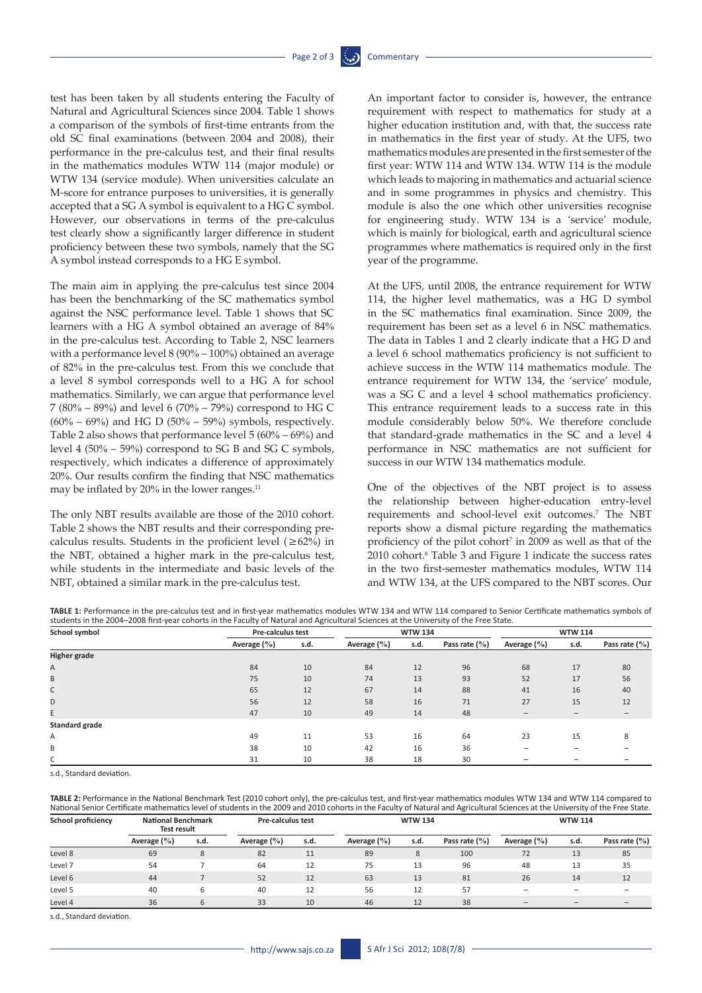test has been taken by all students entering the Faculty of Natural and Agricultural Sciences since 2004. Table 1 shows a comparison of the symbols of first-time entrants from the old SC final examinations (between 2004 and 2008), their performance in the pre-calculus test, and their final results in the mathematics modules WTW 114 (major module) or WTW 134 (service module). When universities calculate an M-score for entrance purposes to universities, it is generally accepted that a SG A symbol is equivalent to a HG C symbol. However, our observations in terms of the pre-calculus test clearly show a significantly larger difference in student proficiency between these two symbols, namely that the SG A symbol instead corresponds to a HG E symbol.

The main aim in applying the pre-calculus test since 2004 has been the benchmarking of the SC mathematics symbol against the NSC performance level. Table 1 shows that SC learners with a HG A symbol obtained an average of 84% in the pre-calculus test. According to Table 2, NSC learners with a performance level 8 (90% – 100%) obtained an average of 82% in the pre-calculus test. From this we conclude that a level 8 symbol corresponds well to a HG A for school mathematics. Similarly, we can argue that performance level 7 (80% – 89%) and level 6 (70% – 79%) correspond to HG C  $(60\% - 69\%)$  and HG D  $(50\% - 59\%)$  symbols, respectively. Table 2 also shows that performance level 5 (60% – 69%) and level 4 (50% – 59%) correspond to SG B and SG C symbols, respectively, which indicates a difference of approximately 20%. Our results confirm the finding that NSC mathematics may be inflated by  $20\%$  in the lower ranges.<sup>11</sup>

The only NBT results available are those of the 2010 cohort. Table 2 shows the NBT results and their corresponding precalculus results. Students in the proficient level  $(\geq 62\%)$  in the NBT, obtained a higher mark in the pre-calculus test, while students in the intermediate and basic levels of the NBT, obtained a similar mark in the pre-calculus test.

An important factor to consider is, however, the entrance requirement with respect to mathematics for study at a higher education institution and, with that, the success rate in mathematics in the first year of study. At the UFS, two mathematics modules are presented in the first semester of the first year: WTW 114 and WTW 134. WTW 114 is the module which leads to majoring in mathematics and actuarial science and in some programmes in physics and chemistry. This module is also the one which other universities recognise for engineering study. WTW 134 is a 'service' module, which is mainly for biological, earth and agricultural science programmes where mathematics is required only in the first year of the programme.

At the UFS, until 2008, the entrance requirement for WTW 114, the higher level mathematics, was a HG D symbol in the SC mathematics final examination. Since 2009, the requirement has been set as a level 6 in NSC mathematics. The data in Tables 1 and 2 clearly indicate that a HG D and a level 6 school mathematics proficiency is not sufficient to achieve success in the WTW 114 mathematics module. The entrance requirement for WTW 134, the 'service' module, was a SG C and a level 4 school mathematics proficiency. This entrance requirement leads to a success rate in this module considerably below 50%. We therefore conclude that standard-grade mathematics in the SC and a level 4 performance in NSC mathematics are not sufficient for success in our WTW 134 mathematics module.

One of the objectives of the NBT project is to assess the relationship between higher-education entry-level requirements and school-level exit outcomes.<sup>7</sup> The NBT reports show a dismal picture regarding the mathematics proficiency of the pilot cohort<sup> $7$ </sup> in 2009 as well as that of the 2010 cohort.<sup>6</sup> Table 3 and Figure 1 indicate the success rates in the two first-semester mathematics modules, WTW 114 and WTW 134, at the UFS compared to the NBT scores. Our

**TABLE 1:** Performance in the pre-calculus test and in first-year mathematics modules WTW 134 and WTW 114 compared to Senior Certificate mathematics symbols of students in the 2004–2008 first-year cohorts in the Faculty of Natural and Agricultural Sciences at the University of the Free State.

| School symbol       | Pre-calculus test |      | <b>WTW 134</b>  |      |                   | <b>WTW 114</b> |      |                          |
|---------------------|-------------------|------|-----------------|------|-------------------|----------------|------|--------------------------|
|                     | Average $(\% )$   | s.d. | Average $(\% )$ | s.d. | Pass rate $(\% )$ | Average (%)    | s.d. | Pass rate $(\% )$        |
| <b>Higher grade</b> |                   |      |                 |      |                   |                |      |                          |
| Α                   | 84                | 10   | 84              | 12   | 96                | 68             | 17   | 80                       |
| B                   | 75                | 10   | 74              | 13   | 93                | 52             | 17   | 56                       |
| C                   | 65                | 12   | 67              | 14   | 88                | 41             | 16   | 40                       |
| D                   | 56                | 12   | 58              | 16   | 71                | 27             | 15   | 12                       |
| E.                  | 47                | 10   | 49              | 14   | 48                |                |      | $\overline{\phantom{0}}$ |
| Standard grade      |                   |      |                 |      |                   |                |      |                          |
| Α                   | 49                | 11   | 53              | 16   | 64                | 23             | 15   | 8                        |
| B                   | 38                | 10   | 42              | 16   | 36                |                |      |                          |
| C                   | 31                | 10   | 38              | 18   | 30                | -              | -    | -                        |

s.d., Standard deviation.

**TABLE 2:** Performance in the National Benchmark Test (2010 cohort only), the pre-calculus test, and first-year mathematics modules WTW 134 and WTW 114 compared to National Senior Certificate mathematics level of students in the 2009 and 2010 cohorts in the Faculty of Natural and Agricultural Sciences at the University of the Free State.

| School proficiency | <b>National Benchmark</b><br><b>Test result</b> |      | <b>Pre-calculus test</b> |      | <b>WTW 134</b>  |      |                   | <b>WTW 114</b>  |                          |                                      |
|--------------------|-------------------------------------------------|------|--------------------------|------|-----------------|------|-------------------|-----------------|--------------------------|--------------------------------------|
|                    | Average $(\% )$                                 | s.d. | Average $(\% )$          | s.d. | Average $(\% )$ | s.d. | Pass rate $(\% )$ | Average $(\% )$ | s.d.                     | Pass rate $\left(\frac{0}{0}\right)$ |
| Level 8            | 69                                              | 8    | 82                       | 11   | 89              | 8    | 100               | 72              | 13                       | 85                                   |
| Level 7            | 54                                              |      | 64                       | 12   | 75              | 13   | 96                | 48              | 13                       | 35                                   |
| Level 6            | 44                                              |      | 52                       | 12   | 63              | 13   | 81                | 26              | 14                       | 12                                   |
| Level 5            | 40                                              | b    | 40                       | 12   | 56              | 12   | 57                |                 | -                        |                                      |
| Level 4            | 36                                              | h    | 33                       | 10   | 46              |      | 38                |                 | $\overline{\phantom{0}}$ |                                      |

s.d., Standard deviation.